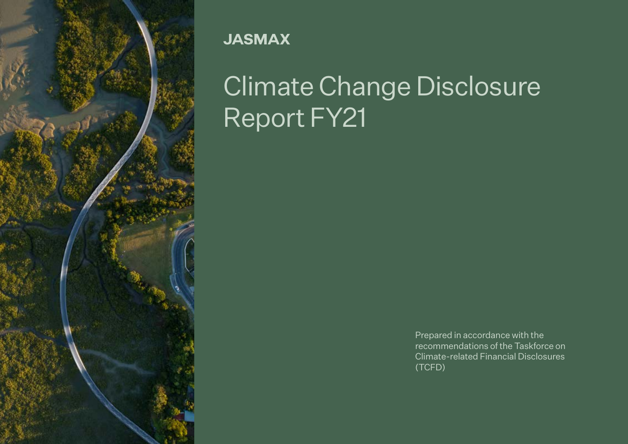

**JASMAX** 

# Climate Change Disclosure Report FY21

Prepared in accordance with the recommendations of the Taskforce on Climate-related Financial Disclosures (TCFD)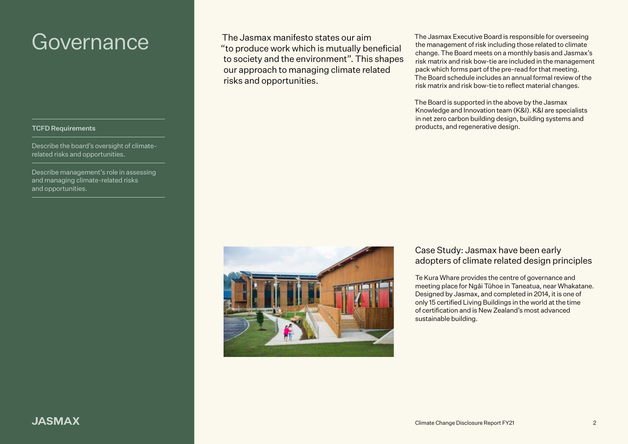#### TCFD Requirements

Describe the board's oversight of climaterelated risks and opportunities.

Describe management's role in assessing and managing climate-related risks and opportunities.

Governance The Jasmax manifesto states our aim "to produce work which is mutually beneficial to society and the environment". This shapes our approach to managing climate related risks and opportunities.

The Jasmax Executive Board is responsible for overseeing the management of risk including those related to climate change. The Board meets on a monthly basis and Jasmax's risk matrix and risk bow-tie are included in the management pack which forms part of the pre-read for that meeting. The Board schedule includes an annual formal review of the risk matrix and risk bow-tie to reflect material changes.

The Board is supported in the above by the Jasmax Knowledge and Innovation team (K&I). K&I are specialists in net zero carbon building design, building systems and products, and regenerative design.



### Case Study: Jasmax have been early adopters of climate related design principles

Te Kura Whare provides the centre of governance and meeting place for Ngāi Tūhoe in Taneatua, near Whakatane. Designed by Jasmax, and completed in 2014, it is one of only 15 certified Living Buildings in the world at the time of certification and is New Zealand's most advanced sustainable building.

# **JASMAX**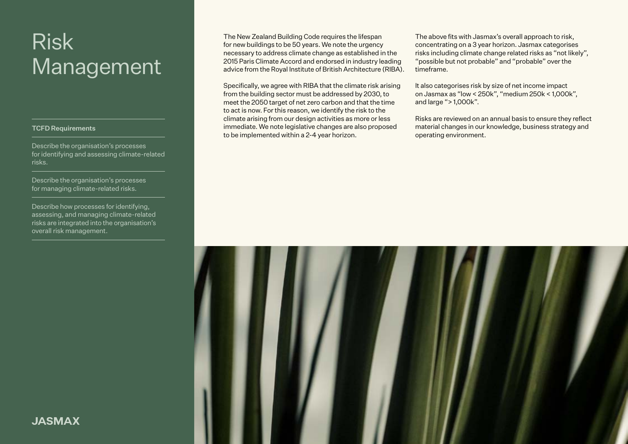# Risk Management

#### TCFD Requirements

Describe the organisation's processes for identifying and assessing climate-related risks.

Describe the organisation's processes for managing climate-related risks.

Describe how processes for identifying, assessing, and managing climate-related risks are integrated into the organisation's overall risk management.

The New Zealand Building Code requires the lifespan for new buildings to be 50 years. We note the urgency necessary to address climate change as established in the 2015 Paris Climate Accord and endorsed in industry leading advice from the Royal Institute of British Architecture (RIBA).

Specifically, we agree with RIBA that the climate risk arising from the building sector must be addressed by 2030, to meet the 2050 target of net zero carbon and that the time to act is now. For this reason, we identify the risk to the climate arising from our design activities as more or less immediate. We note legislative changes are also proposed to be implemented within a 2-4 year horizon.

The above fits with Jasmax's overall approach to risk, concentrating on a 3 year horizon. Jasmax categorises risks including climate change related risks as "not likely", "possible but not probable" and "probable" over the timeframe.

It also categorises risk by size of net income impact on Jasmax as "low < 250k", "medium 250k < 1,000k", and large "> 1,000k".

Risks are reviewed on an annual basis to ensure they reflect material changes in our knowledge, business strategy and operating environment.



**JASMAX**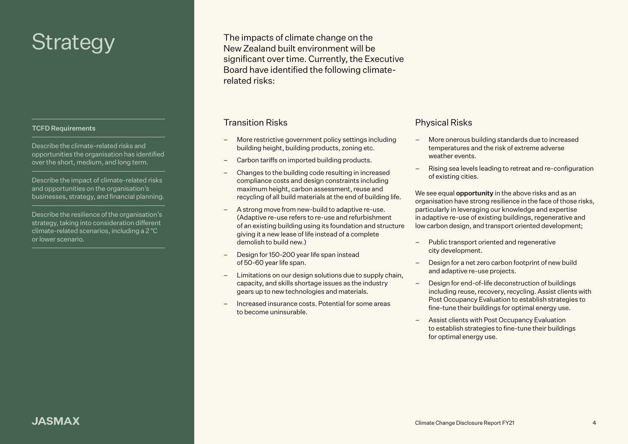# **Strategy**

#### TCFD Requirements

Describe the climate-related risks and opportunities the organisation has identified over the short, medium, and long term.

Describe the impact of climate-related risks and opportunities on the organisation's businesses, strategy, and financial planning.

Describe the resilience of the organisation's strategy, taking into consideration different climate-related scenarios, including a 2 °C or lower scenario.

The impacts of climate change on the New Zealand built environment will be significant over time. Currently, the Executive Board have identified the following climaterelated risks:

### Transition Risks

- More restrictive government policy settings including building height, building products, zoning etc.
- Carbon tariffs on imported building products.
- Changes to the building code resulting in increased compliance costs and design constraints including maximum height, carbon assessment, reuse and recycling of all build materials at the end of building life.
- A strong move from new-build to adaptive re-use. (Adaptive re-use refers to re-use and refurbishment of an existing building using its foundation and structure giving it a new lease of life instead of a complete demolish to build new.)
- Design for 150-200 year life span instead of 50-60 year life span.
- Limitations on our design solutions due to supply chain, capacity, and skills shortage issues as the industry gears up to new technologies and materials.
- Increased insurance costs. Potential for some areas to become uninsurable.

### Physical Risks

- More onerous building standards due to increased temperatures and the risk of extreme adverse weather events.
- Rising sea levels leading to retreat and re-configuration of existing cities.

We see equal **opportunity** in the above risks and as an organisation have strong resilience in the face of those risks, particularly in leveraging our knowledge and expertise in adaptive re-use of existing buildings, regenerative and low carbon design, and transport oriented development;

- Public transport oriented and regenerative city development.
- Design for a net zero carbon footprint of new build and adaptive re-use projects.
- Design for end-of-life deconstruction of buildings including reuse, recovery, recycling. Assist clients with Post Occupancy Evaluation to establish strategies to fine-tune their buildings for optimal energy use.
- Assist clients with Post Occupancy Evaluation to establish strategies to fine-tune their buildings for optimal energy use.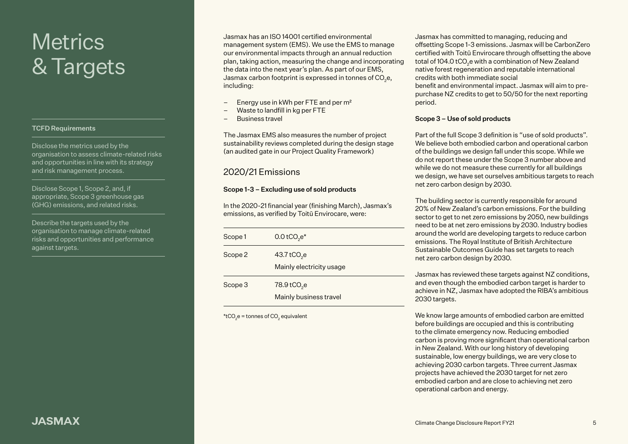# **Metrics** wiseres<br>& Targets

#### TCFD Requirements

Disclose the metrics used by the organisation to assess climate-related risks and opportunities in line with its strategy and risk management process.

Disclose Scope 1, Scope 2, and, if appropriate, Scope 3 greenhouse gas (GHG) emissions, and related risks.

Describe the targets used by the organisation to manage climate-related risks and opportunities and performance against targets.

Jasmax has an ISO 14001 certified environmental management system (EMS). We use the EMS to manage our environmental impacts through an annual reduction plan, taking action, measuring the change and incorporating the data into the next year's plan. As part of our EMS, Jasmax carbon footprint is expressed in tonnes of CO $_2$ e, including:

- Energy use in kWh per FTE and per m²
- Waste to landfill in kg per FTE
- Business travel

The Jasmax EMS also measures the number of project sustainability reviews completed during the design stage (an audited gate in our Project Quality Framework)

# 2020/21 Emissions

### Scope 1-3 – Excluding use of sold products

In the 2020-21 financial year (finishing March), Jasmax's emissions, as verified by Toitū Envirocare, were:

| Scope 1 | $0.0$ tCO <sub>2</sub> e <sup>*</sup>               |
|---------|-----------------------------------------------------|
| Scope 2 | 43.7 tCO <sub>2</sub> e<br>Mainly electricity usage |
| Scope 3 | 78.9 tCO <sub>2</sub> e<br>Mainly business travel   |

\*tCO<sub>2</sub>e = tonnes of CO<sub>2</sub> equivalent

Jasmax has committed to managing, reducing and offsetting Scope 1-3 emissions. Jasmax will be CarbonZero certified with Toitū Envirocare through offsetting the above total of 104.0 tCO $_2$ e with a combination of New Zealand native forest regeneration and reputable international credits with both immediate social benefit and environmental impact. Jasmax will aim to prepurchase NZ credits to get to 50/50 for the next reporting period.

#### Scope 3 – Use of sold products

Part of the full Scope 3 definition is "use of sold products". We believe both embodied carbon and operational carbon of the buildings we design fall under this scope. While we do not report these under the Scope 3 number above and while we do not measure these currently for all buildings we design, we have set ourselves ambitious targets to reach net zero carbon design by 2030.

The building sector is currently responsible for around 20% of New Zealand's carbon emissions. For the building sector to get to net zero emissions by 2050, new buildings need to be at net zero emissions by 2030. Industry bodies around the world are developing targets to reduce carbon emissions. The Royal Institute of British Architecture Sustainable Outcomes Guide has set targets to reach net zero carbon design by 2030.

Jasmax has reviewed these targets against NZ conditions, and even though the embodied carbon target is harder to achieve in NZ, Jasmax have adopted the RIBA's ambitious 2030 targets.

We know large amounts of embodied carbon are emitted before buildings are occupied and this is contributing to the climate emergency now. Reducing embodied carbon is proving more significant than operational carbon in New Zealand. With our long history of developing sustainable, low energy buildings, we are very close to achieving 2030 carbon targets. Three current Jasmax projects have achieved the 2030 target for net zero embodied carbon and are close to achieving net zero operational carbon and energy.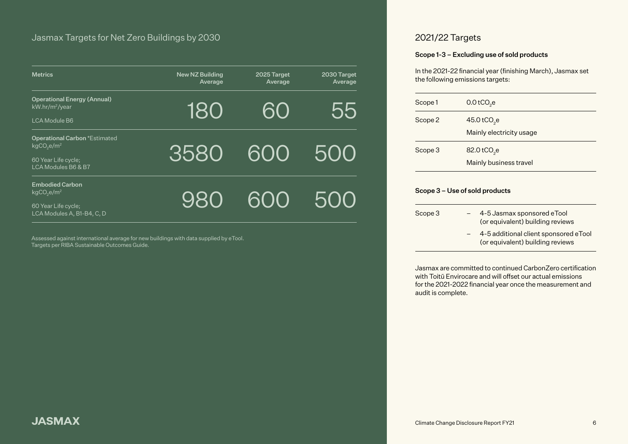| <b>Metrics</b>                                                                                                          | <b>New NZ Building</b><br>Average | 2025 Target<br>Average | 2030 Target<br>Average |
|-------------------------------------------------------------------------------------------------------------------------|-----------------------------------|------------------------|------------------------|
| <b>Operational Energy (Annual)</b><br>kW.hr/m <sup>2</sup> /year<br><b>LCA Module B6</b>                                | 180                               | 60                     | 55                     |
| <b>Operational Carbon *Estimated</b><br>kgCO <sub>e</sub> /m <sup>2</sup><br>60 Year Life cycle;<br>LCA Modules B6 & B7 | 3580                              | 600                    | -500                   |
| <b>Embodied Carbon</b><br>kgCO <sub>2</sub> e/m <sup>2</sup><br>60 Year Life cycle;<br>LCA Modules A, B1-B4, C, D       | 980                               | 600                    | -500                   |

Assessed against international average for new buildings with data supplied by eTool. Targets per RIBA Sustainable Outcomes Guide.

# 2021/22 Targets

### Scope 1-3 – Excluding use of sold products

In the 2021-22 financial year (finishing March), Jasmax set the following emissions targets:

| Scope 1 | 0.0 tCO <sub>2</sub> e                              |
|---------|-----------------------------------------------------|
| Scope 2 | 45.0 tCO <sub>2</sub> e<br>Mainly electricity usage |
| Scope 3 | 82.0 tCO <sub>2</sub> e<br>Mainly business travel   |

#### Scope 3 – Use of sold products

| Scope 3 |     | 4-5 Jasmax sponsored eTool<br>(or equivalent) building reviews            |
|---------|-----|---------------------------------------------------------------------------|
|         | $-$ | 4-5 additional client sponsored eTool<br>(or equivalent) building reviews |

Jasmax are committed to continued CarbonZero certification with Toitū Envirocare and will offset our actual emissions for the 2021-2022 financial year once the measurement and audit is complete.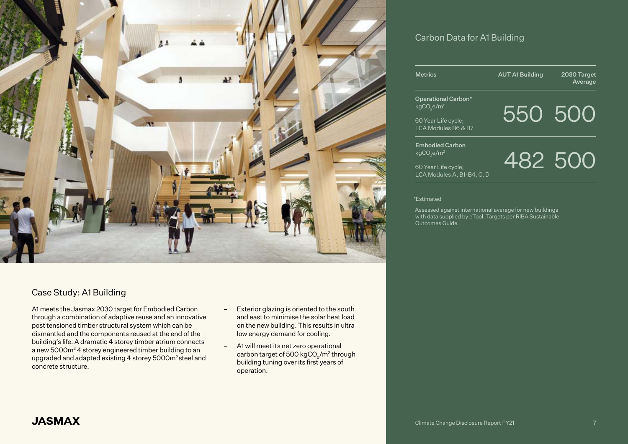

# Case Study: A1 Building

A1 meets the Jasmax 2030 target for Embodied Carbon through a combination of adaptive reuse and an innovative post tensioned timber structural system which can be dismantled and the components reused at the end of the building's life. A dramatic 4 storey timber atrium connects a new 5000m2 4 storey engineered timber building to an upgraded and adapted existing 4 storey 5000m2 steel and concrete structure.

- Exterior glazing is oriented to the south and east to minimise the solar heat load on the new building. This results in ultra low energy demand for cooling.
- A1 will meet its net zero operational carbon target of 500 kgCO<sub>2</sub>/m<sup>2</sup> through building tuning over its first years of operation.

# Carbon Data for A1 Building

| <b>Metrics</b>      | <b>AUT A1 Building</b> | 2030 Target<br>Average |
|---------------------|------------------------|------------------------|
| Operational Carbon* |                        |                        |

Operational Carbon\* kgCO<sub>2</sub>e/m<sup>2</sup>

550 500

60 Year Life cycle; LCA Modules B6 & B7

Embodied Carbon kgCO<sub>2</sub>e/m<sup>2</sup>

60 Year Life cycle; LCA Modules A, B1-B4, C, D 482 500

\*Estimated

Assessed against international average for new buildings with data supplied by eTool. Targets per RIBA Sustainable Outcomes Guide.